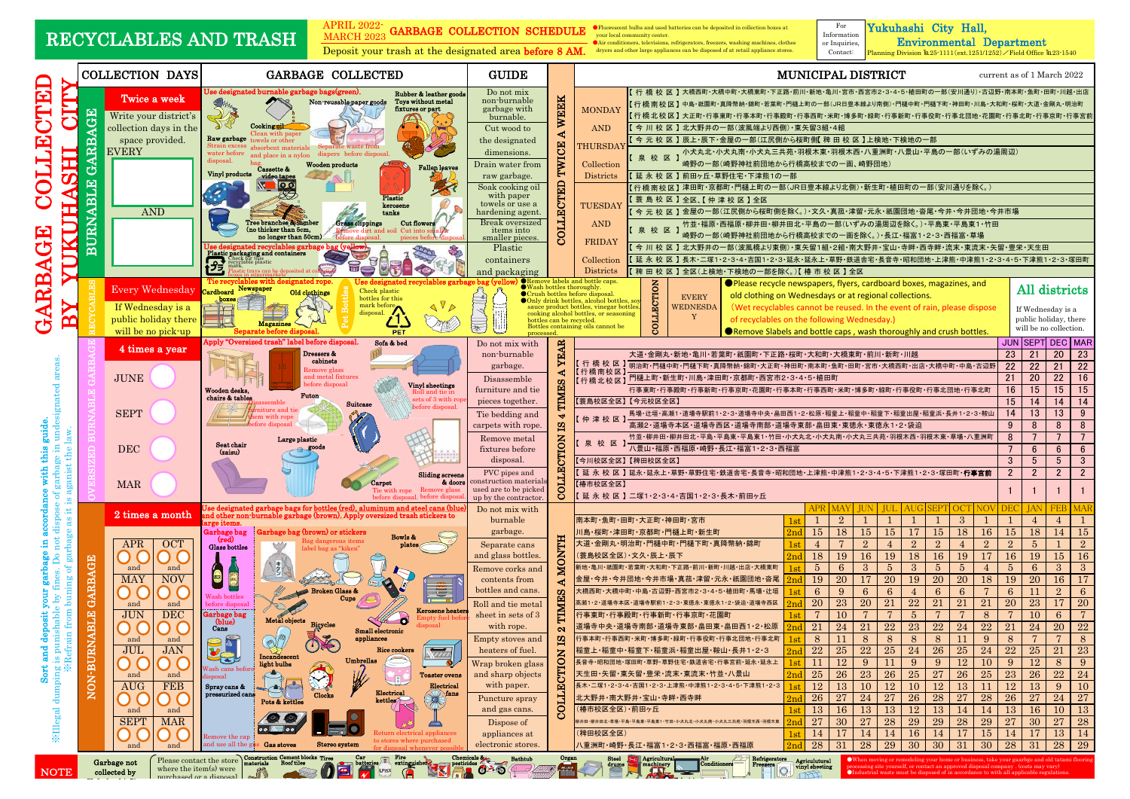For

Information or Inquiries,

### Yukuhashi City Hall,

Environmental Department

|                                                                                                      |                                                    |                                                                                                                     |                                                                                                                                                                                                                                                                                                                                                                                                                                                                                                                                                                                                                                                                                                                                                                                                                                                                                                                                                                                                                                                                |                                                                                                                                                                                                                                                                                                                                                 |                                                                                                                                                                                                                                                                                                                                                                                                                                                                                                                                                                                                                                                                                                                                                                                                                                                                                                                                                                                                                                                                                               | Deposit your trash at the designated area before 8 AM. dryers and other large appliances can be disposed of at retail appliance stores.<br>Contact:<br>Planning Division $\text{Im }25 \cdot 1111 \text{ (ext.1251/1252)}$ / Field Office $\text{Im }23 \cdot 1540$                                                                                                                                                                                                                                                                                                                                                                                                                                                                                                                                                                                                                                      |  |  |  |
|------------------------------------------------------------------------------------------------------|----------------------------------------------------|---------------------------------------------------------------------------------------------------------------------|----------------------------------------------------------------------------------------------------------------------------------------------------------------------------------------------------------------------------------------------------------------------------------------------------------------------------------------------------------------------------------------------------------------------------------------------------------------------------------------------------------------------------------------------------------------------------------------------------------------------------------------------------------------------------------------------------------------------------------------------------------------------------------------------------------------------------------------------------------------------------------------------------------------------------------------------------------------------------------------------------------------------------------------------------------------|-------------------------------------------------------------------------------------------------------------------------------------------------------------------------------------------------------------------------------------------------------------------------------------------------------------------------------------------------|-----------------------------------------------------------------------------------------------------------------------------------------------------------------------------------------------------------------------------------------------------------------------------------------------------------------------------------------------------------------------------------------------------------------------------------------------------------------------------------------------------------------------------------------------------------------------------------------------------------------------------------------------------------------------------------------------------------------------------------------------------------------------------------------------------------------------------------------------------------------------------------------------------------------------------------------------------------------------------------------------------------------------------------------------------------------------------------------------|----------------------------------------------------------------------------------------------------------------------------------------------------------------------------------------------------------------------------------------------------------------------------------------------------------------------------------------------------------------------------------------------------------------------------------------------------------------------------------------------------------------------------------------------------------------------------------------------------------------------------------------------------------------------------------------------------------------------------------------------------------------------------------------------------------------------------------------------------------------------------------------------------------|--|--|--|
|                                                                                                      | <b>COLLECTION DAYS</b><br><b>GARBAGE COLLECTED</b> |                                                                                                                     |                                                                                                                                                                                                                                                                                                                                                                                                                                                                                                                                                                                                                                                                                                                                                                                                                                                                                                                                                                                                                                                                |                                                                                                                                                                                                                                                                                                                                                 |                                                                                                                                                                                                                                                                                                                                                                                                                                                                                                                                                                                                                                                                                                                                                                                                                                                                                                                                                                                                                                                                                               | MUNICIPAL DISTRICT<br>current as of 1 March 2022                                                                                                                                                                                                                                                                                                                                                                                                                                                                                                                                                                                                                                                                                                                                                                                                                                                         |  |  |  |
| TED<br>요<br>DIJ<br>$\overline{\phantom{a}}$<br>田<br>ひ                                                | 囟<br>◀<br>88<br>a<br><u>آمم</u><br>മ               | Twice a week<br>Write your district's<br>collection days in the<br>space provided.<br><b>EVERY</b><br><b>AND</b>    | Use designated burnable garbage bags(green).<br>Rubber & leather goods<br>Toys without metal<br>Non-reusable paper goods<br>fixtures or part<br>Cookingoil<br>Clean with pape<br>Raw garbage<br>towels or other<br>$Strain$ exc $\epsilon$<br>Separate waste from<br>nt materials<br>water before<br>diapers before disposal.<br>and place in a nylon<br>Wooden products<br><b>Fallen</b> leaves<br>Cassette &<br>Vinyl products<br>Plastic<br>kerosene<br>tanks<br><b>Tree branches &amp; lumber</b><br><b>Grass clippings</b><br><b>Cut flowers</b><br>(no thicker than 5cm.<br>ove dirt and soil Cut into s<br>no longer than 50cm.<br>Plastic packaging and containers<br><b>Tell</b>                                                                                                                                                                                                                                                                                                                                                                      | Do not mix<br><b>WEEK</b><br>non-burnable<br>garbage with<br>burnable.<br>Cut wood to<br>the designated<br>TWICE<br>dimensions.<br>Drain water from<br>raw garbage.<br>COLLECTED<br>Soak cooking oil<br>with paper<br>towels or use a<br>hardening agent.<br>Break oversized<br><i>items into</i><br>smaller pieces.<br>Plastic<br>containers   | ´ 行 橋 校 区 】大橋西町 大橋中町 大橋東町 下正路 前川 新地 亀川 宮市 西宮市2 3 4 5 植田町の一部(安川通り) 古辺野 南本町 魚町 田町 川越 出店<br>(行 橋 南 校 区 】中島・祇園町・真降幣納・錦町・若葉町・門樋上町の一部(JR日豊本線より南側)・門樋中町・門樋下町・神田町・川島・大和町・桜町・大道・金剛丸・明治町<br><b>MONDAY</b><br>【 行 橋 北 校 区 】大正町 ·行事東町 ·行事本町 ·行事殿町 ·行事西町 ·米町 ·博多町 ·緑町 ·行事新町 ·行事役町 ·行事北団地 ·花園町 ·行事北町 ·行事京町 ·行事宮前<br><b>AND</b><br>【 今 川 校 区 】北大野井の一部(波風端より西側) •東矢留3組•4組<br>〔 今 元 校 区 】辰上・辰下・金屋の一部(江尻側から桜町側【 稗 田 校 区 】上検地・下検地の一部<br><b>THURSDAY</b><br>小犬丸北・小犬丸南・小犬丸三共苑・羽根木東・羽根木西・八重洲町・八景山・平島の一部(いずみの湯周辺)<br>泉校区】<br>崎野の一部(崎野神社前団地から行橋高校までの一画、崎野団地)<br>Collection<br>【延永校区】前田ヶ丘·草野住宅·下津熊1の一部<br><b>Districts</b><br>【行橋南校区】 津田町・京都町・門樋上町の一部(JR日豊本線より北側) ・新生町・植田町の一部(安川通りを除く。)<br>〔 蓑 島 校 区 】全区、【 仲 津 校 区 】全区<br>TUESDAY<br>〔今 元 校 区 】 金屋の一部(江尻側から桜町側を除く。) 文久・真菰・津留・元永・祇園団地・沓尾・今井・今井団地・今井市場<br><b>AND</b><br>竹並・福原・西福原・柳井田・柳井田北・平島の一部(いずみの湯周辺を除く。)・平島東・平島東1・竹田<br>泉校区<br>崎野の一部(崎野神社前団地から行橋高校までの一画を除く。)・長江・福富1・2・3・西福富・草場<br>FRIDAY<br>【 今 川 校 区 】北大野井の一部(波風橋より東側) 東矢留1組・2組・南大野井・宝山・寺畔・西寺畔・流末・東流末・矢留・豊栄・天生田<br>【 延 永 校 区 】長木 二塚1・2・3・4・吉国1・2・3・延永・延永上・草野・鉄道舎宅・長音寺・昭和団地・上津熊・中津熊1・2・3・年津熊1・2・3・塚田町<br>Collection |                                                                                                                                                                                                                                                                                                                                                                                                                                                                                                                                                                                                                                                                                                                                                                                                                                                                                                          |  |  |  |
| C                                                                                                    |                                                    |                                                                                                                     |                                                                                                                                                                                                                                                                                                                                                                                                                                                                                                                                                                                                                                                                                                                                                                                                                                                                                                                                                                                                                                                                | and packaging                                                                                                                                                                                                                                                                                                                                   |                                                                                                                                                                                                                                                                                                                                                                                                                                                                                                                                                                                                                                                                                                                                                                                                                                                                                                                                                                                                                                                                                               | Districts<br>【 稗 田 校 区 】全区(上検地・下検地の一部を除く。)【 椿 市 校 区 】全区                                                                                                                                                                                                                                                                                                                                                                                                                                                                                                                                                                                                                                                                                                                                                                                                                                                  |  |  |  |
| $\mathbf{B}$<br>Ċ                                                                                    | ്ഥ                                                 | <b>Every Wednesday</b><br>If Wednesday is a<br>public holiday there<br>will be no pick up                           | 'Tie re<br>Newspaper<br>Check plastic<br>Cardboard<br>Old clothings<br>bottles for this<br>boxes<br>QV<br>mark before<br>disposal.<br><i><b>IMNE</b></i><br>Magazines<br>Separate before dispo<br><b>PET</b>                                                                                                                                                                                                                                                                                                                                                                                                                                                                                                                                                                                                                                                                                                                                                                                                                                                   |                                                                                                                                                                                                                                                                                                                                                 |                                                                                                                                                                                                                                                                                                                                                                                                                                                                                                                                                                                                                                                                                                                                                                                                                                                                                                                                                                                                                                                                                               | move labels and bottle caps.<br>COLLECTION<br>● Please recycle newspapers, flyers, cardboard boxes, magazines, and<br>All districts<br>● Wash bottles thoroughly<br>Crush bottles before disposal<br>old clothing on Wednesdays or at regional collections.<br><b>EVERY</b><br>nly drink bottles, alcohol bottles, soy<br><b>WEDNESDA</b><br>(Wet recyclables cannot be reused. In the event of rain, please dispose<br>sauce product bottles, vinegar bottles<br>If Wednesday is a<br>cooking alcohol bottles, or seasoning<br>Y<br>public holiday, there<br>of recyclables on the following Wednesday.)<br>bottles can be recycled.<br>Bottles containing oils cannot be<br>will be no collection.<br>Remove Slabels and bottle caps, wash thoroughly and crush bottles.                                                                                                                               |  |  |  |
|                                                                                                      |                                                    |                                                                                                                     | Apply "Oversized trash" label before disposal<br>Sofa & bed                                                                                                                                                                                                                                                                                                                                                                                                                                                                                                                                                                                                                                                                                                                                                                                                                                                                                                                                                                                                    | processed<br>Do not mix with                                                                                                                                                                                                                                                                                                                    |                                                                                                                                                                                                                                                                                                                                                                                                                                                                                                                                                                                                                                                                                                                                                                                                                                                                                                                                                                                                                                                                                               | JUN SEPT DEC MAR                                                                                                                                                                                                                                                                                                                                                                                                                                                                                                                                                                                                                                                                                                                                                                                                                                                                                         |  |  |  |
| $\mathbf{F}$<br>accordance<br>đ<br>$\frac{a}{a}$ .                                                   | $\mathbf{\alpha}$                                  | 4 times a year<br><b>JUNE</b><br><b>SEPT</b><br><b>DEC</b><br><b>MAR</b>                                            | Dressers &<br>cabinets<br>Remove glass<br>and metal fixtures<br>before disposal<br>Vinyl sheetings<br>Wooden desks.<br>Roll and tie in<br>Futon<br>chairs & tables<br>sets of 3 with ro<br>Suitcase<br>before disposal<br>iiture and ti<br>em with rope<br>Large plastic<br>Seat chair<br>goods<br>(zaisu)<br>Shding screens<br>& doors<br><b>Carpet</b><br>Tie with rope Remove glass<br>before disposal, before dispos                                                                                                                                                                                                                                                                                                                                                                                                                                                                                                                                                                                                                                       | <b>YEAR</b><br>non-burnable<br>garbage.<br>Disassemble<br><b>TIMES</b><br>furniture and tie<br>pieces together.<br>Tie bedding and<br>$\mathbf{B}$<br>carpets with rope.<br>CTION<br>Remove metal<br>fixtures before<br>disposal.<br>ĕ<br>PVC pipes and<br>LIO<br>construction materials<br>used are to be picked<br>ల<br>up by the contractor. |                                                                                                                                                                                                                                                                                                                                                                                                                                                                                                                                                                                                                                                                                                                                                                                                                                                                                                                                                                                                                                                                                               | 大道・金剛丸・新地・亀川・若葉町・祇園町・下正路・桜町・大和町・大橋東町・前川・新町・川越<br>23<br>21<br>-20<br>行 橋 校 区 】明治町·門樋中町·門樋下町·真降幣納·錦町·大正町·神田町·南本町·魚町·田町·宮市·大橋西町·出店·大橋中町·中島·古辺野<br>22<br>22<br>21<br>【行橋南校区】<br>  1,118 H1 1へに)  門樋上町・新生町・川島・津田町・京都町・西宮市2・3・4・5・植田町<br>21<br>22<br><b>20</b><br>16<br>-15<br>行事東町・行事殿町・行事新町・行事京町・花園町・行事本町・行事西町・米町・博多町・緑町・行事役町・行事北団地・行事北町<br>15<br>15<br>【蓑島校区全区】【今元校区全区】<br>-14<br>14<br>14<br>馬場・辻垣・高瀬1・道場寺駅前1・2・3・道場寺中央・畠田西1・2・松原・稲童上・稲童中・稲童下・稲童出屋・稲童浜・長井1・2・3・鞍山<br>13.<br>13<br>仲津校区】<br>9<br>高瀬2・道場寺本区・道場寺西区・道場寺南部・道場寺東部・畠田東・東徳永・東徳永1・2・袋迫<br>8<br>8<br>竹並・柳井田・柳井田北・平島・平島東・平島東1・竹田・小犬丸北・小犬丸南・小犬丸三共苑・羽根木西・羽根木東・草場・八重洲町<br>. 校 区 )<br>八景山·福原·西福原·崎野·長江·福富1·2·3·西福富<br>6<br><b>6</b><br>【今川校区全区】【稗田校区全区】<br>3<br>【 延 永 校 区 】 延永・延永上・草野・草野住宅・鉄道舎宅・長音寺・昭和団地・上津熊・中津熊1・2・3・4・5・下津熊1・2・3・塚田町・ <b>行事宮前</b><br>$2^{\circ}$<br>$\overline{2}$<br>$\mathcal{D}$<br>【椿市校区全区】<br>【 延 永 校 区 】二塚1・2・3・4・吉国1・2・3・長木・前田ヶ丘 |  |  |  |
|                                                                                                      | $\ddot{H}$<br>a <b>s</b>                           | 2 times a month                                                                                                     | Use designated garbage bags for <u>bottles (red), aluminum and steel cans (blue</u><br><u>and other non-burnable garbage (brown). A</u> pply oversized trash stickers to                                                                                                                                                                                                                                                                                                                                                                                                                                                                                                                                                                                                                                                                                                                                                                                                                                                                                       | Do not mix with<br>burnable                                                                                                                                                                                                                                                                                                                     |                                                                                                                                                                                                                                                                                                                                                                                                                                                                                                                                                                                                                                                                                                                                                                                                                                                                                                                                                                                                                                                                                               | 南本町・魚町・田町・大正町・神田町・宮市<br>$\overline{2}$                                                                                                                                                                                                                                                                                                                                                                                                                                                                                                                                                                                                                                                                                                                                                                                                                                                                   |  |  |  |
| ₽.<br>garbage<br>ping is punisi<br><b>*Refrain</b> f<br>ರ<br>and<br>Sort<br>ਰ<br>ਰ<br><b>Example</b> | of garbage<br>puning<br>മ<br>ひ<br>from<br>ГŦ       | <b>OCT</b><br>APR<br>and<br>and<br><b>MAY</b><br><b>NOV</b><br>and<br>and<br>DEC<br>JUN<br>and<br>and<br>JAN<br>JUL | arge items.<br><b>Garbage bag</b><br>Garbage bag (brown) or stickers<br>Bowls &<br>(red)<br>Bag dangerous items<br>plates<br>Glass bottles<br>label bag as "kiken"<br>U<br>O<br><b>Broken Glass &amp;</b><br>Nash bottles<br>Cups<br>efore dispos<br>Kerosene heater<br>arbage bag<br>Impty fuel be<br>Metal objects<br>-0<br>(blue)<br>Bicycles<br>Cans<br><b>Small electronic</b><br>appliances<br>Rice cookers<br>Incandescent<br>$\frac{1}{2}$<br>-33<br>Umbrellas<br>light bulbs<br>Wash cans befo<br>and<br><b>Toaster ovens</b><br>and<br>isposal<br><b>FEB</b><br>AUG<br>Electrical<br>Spray cans &<br>XLX<br>$\sim$<br><b>Electrical</b><br>$\char`>$ fans<br>pressurized cans<br>Clocks<br>XO C<br>$\mathbf{kettles}\diagup$<br>Pots & kettles<br>and<br>and<br><b>SEPT</b><br><b>MAR</b><br>eturn electrical appliances<br>Remove the cap<br>to stores where purchased<br>nd use all the<br><b>Stereo system</b><br><b>Gas stoves</b><br>and<br>and<br>Please contact the store construction Cement blocks Tires<br>Fire Chemicals &<br>batteries a | garbage.<br>Separate cans<br>and glass bottles.<br>Remove corks and<br>contents from<br>bottles and cans.<br>Roll and tie metal<br>sheet in sets of 3<br>with rope.<br>Empty stoves and<br>heaters of fuel.                                                                                                                                     | <b>MONTH</b><br><u>ဟ</u><br><b>TIME</b><br>$\mathbf{\Omega}$<br>ၛၙ<br>$\mathbf{Z}$                                                                                                                                                                                                                                                                                                                                                                                                                                                                                                                                                                                                                                                                                                                                                                                                                                                                                                                                                                                                            | 18<br>18<br>15<br>15<br>16<br>15<br>・桜町・津田町・京都町・門樋上町・新生町<br>18<br>金剛丸・明治町・門樋中町・門樋下町・真降幣納・錦町<br>$\overline{2}$<br>16<br>19<br>19<br>16<br>18<br>(蓑島校区全区)・文久・辰上・辰下<br>所地・亀川・祇園町・若葉町・大和町・下正路・前川・新町・川越・出店・大橋東町<br>20<br>20<br>20<br>20<br>19<br>20<br>19<br>19<br>18<br>16<br>・今井市場・真菰・津留・元永・祇園団地・沓尾<br>6<br>-9<br>大橋西町・大橋中町・中島・古辺野・西宮市2・3・4・5・植田町・馬場・辻垣<br>20<br>23<br>$20\,$<br>21<br>21<br>21<br>20<br>20<br>22<br>-21<br>23<br>場寺本区・道場寺駅前123・東徳永・東徳永12・袋迫・道場寺西区<br>10<br>8<br>10<br>行事東町・行事殿町・行事新町・行事京町・花園町<br>$\overline{D}$<br>24<br>22<br><b>22</b><br>22<br>23<br>22<br>21<br>il・道場寺東部・畠田東・畠田西1・2・松原<br>21<br>21<br>24<br>24<br>-20<br>8<br>-8<br>8<br>9<br>-8<br>8<br>〒事本町・行事西町・米町・博多町・緑町・行事役町・行事北団地・行事北町 ―<br>22<br>25<br>22<br>25<br>22<br>23<br>$26\,$<br>25<br>24<br>25<br>-21<br>24<br>稲童上・稲童中・稲童下・稲童浜・稲童出屋・鞍山・長井1・2・3                                                                         |  |  |  |
|                                                                                                      | മ<br>0                                             | Garbage not                                                                                                         |                                                                                                                                                                                                                                                                                                                                                                                                                                                                                                                                                                                                                                                                                                                                                                                                                                                                                                                                                                                                                                                                | Wrap broken glass<br>and sharp objects<br>with paper.<br>Puncture spray<br>and gas cans.<br>Dispose of<br>appliances at<br>electronic stores.<br><b>Bathtub</b>                                                                                                                                                                                 | <b>ECTIO</b><br>冒<br><u>S</u>                                                                                                                                                                                                                                                                                                                                                                                                                                                                                                                                                                                                                                                                                                                                                                                                                                                                                                                                                                                                                                                                 | 12<br>-9<br>9<br>-9<br>長音寺・昭和団地・塚田町・草野・草野住宅・鉄道舎宅・行事宮前・延永・延永上<br>9<br>10<br>25<br>26<br>25<br>24<br>26<br>27<br>23<br>$22\,$<br>天生田・矢留・東矢留・豊栄・流末・東流末・竹並・八景山<br>25<br>26<br>26<br>12<br>12<br>12<br><sup>10</sup><br>長木・二塚1・2・3・4・吉国1・2・3・上津熊・中津熊1・2・3・4・5・下津熊1・2・3<br>-9<br>27<br>27<br>26<br>28<br>28<br>26<br>24<br>北大野井・南大野井・宝山・寺畔・西寺畔<br>13<br>(椿市校区全区)・前田ヶ丘<br>16<br>12<br>13<br>16<br>27<br>28<br>29<br>29<br>29<br>28<br>27<br>28<br>柳井田・柳井田北・草場・平島・平島東・平島東1・竹田・小犬丸北・小犬丸南・小犬丸三共苑・羽根木西・羽根木東<br>15<br>(稗田校区全区)<br>16<br>14<br>28<br>$28\,$<br>30<br>-31<br>30<br>28<br>28<br>29<br>八重洲町・崎野・長江・福富1・2・3・西福富・福原・西福原<br>31<br>Organ<br><b>Refrigerators</b><br><b>OWhen moving or remodeling your home or business, take your gaarbge and old tatami flooring</b><br>Agriculutural<br>drums                                                                                                              |  |  |  |
| <b>NOTE</b>                                                                                          |                                                    | where the item $(s)$ were<br>collected by                                                                           | purchased or a disposal                                                                                                                                                                                                                                                                                                                                                                                                                                                                                                                                                                                                                                                                                                                                                                                                                                                                                                                                                                                                                                        |                                                                                                                                                                                                                                                                                                                                                 |                                                                                                                                                                                                                                                                                                                                                                                                                                                                                                                                                                                                                                                                                                                                                                                                                                                                                                                                                                                                                                                                                               | vinyl sheeting<br>ocessing site yourself, or contact an approved disposal company . (costs may vary)<br>Industrial waste must be disposed of in accordance to with all applicable regulations.                                                                                                                                                                                                                                                                                                                                                                                                                                                                                                                                                                                                                                                                                                           |  |  |  |

## RECYCLABLES AND TRASH MARCH 2023 GARBAGE COLLECTION SCHEDULE

Yukuhashi City

# $\text{MARCH 2023} \text{GARBAGE COLLECTION SCHEDULE} \underbrace{\text{ofluvescent bulbs and used batteries can be deposited in collection boxes at your local community center.} }_{\text{Our local communities, checking machines, clothes, clothes, the expression of the original computers, televisions, reflecting the algorithms, clothes, clothes, clothes, clothes, clothes, clothes, clothes, clothes, conbe, clothes, conbe, and use of a training machine.} } \underbrace{\text{oflurescent bulbs and used batteries can be deposited in collection boxes.} }_{\text{Our train applies.} }$

Deposit your trash at the designated area before 8 AM.

Motorcycle